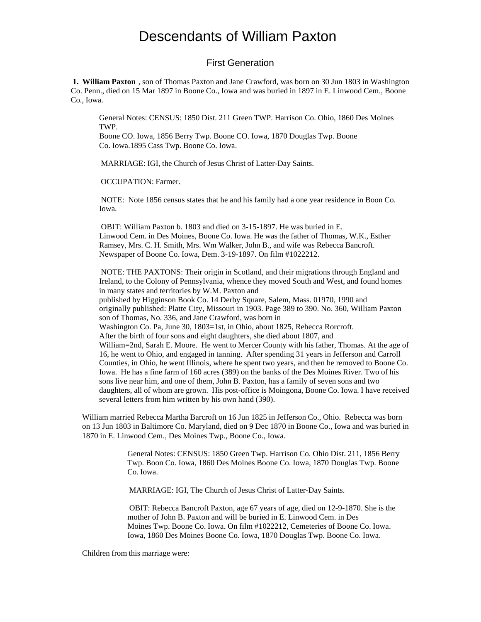#### First Generation

 **1. William Paxton** , son of Thomas Paxton and Jane Crawford, was born on 30 Jun 1803 in Washington Co. Penn., died on 15 Mar 1897 in Boone Co., Iowa and was buried in 1897 in E. Linwood Cem., Boone Co., Iowa.

General Notes: CENSUS: 1850 Dist. 211 Green TWP. Harrison Co. Ohio, 1860 Des Moines TWP.

Boone CO. Iowa, 1856 Berry Twp. Boone CO. Iowa, 1870 Douglas Twp. Boone Co. Iowa.1895 Cass Twp. Boone Co. Iowa.

MARRIAGE: IGI, the Church of Jesus Christ of Latter-Day Saints.

OCCUPATION: Farmer.

 NOTE: Note 1856 census states that he and his family had a one year residence in Boon Co. Iowa.

 OBIT: William Paxton b. 1803 and died on 3-15-1897. He was buried in E. Linwood Cem. in Des Moines, Boone Co. Iowa. He was the father of Thomas, W.K., Esther Ramsey, Mrs. C. H. Smith, Mrs. Wm Walker, John B., and wife was Rebecca Bancroft. Newspaper of Boone Co. Iowa, Dem. 3-19-1897. On film #1022212.

 NOTE: THE PAXTONS: Their origin in Scotland, and their migrations through England and Ireland, to the Colony of Pennsylvania, whence they moved South and West, and found homes in many states and territories by W.M. Paxton and

published by Higginson Book Co. 14 Derby Square, Salem, Mass. 01970, 1990 and originally published: Platte City, Missouri in 1903. Page 389 to 390. No. 360, William Paxton son of Thomas, No. 336, and Jane Crawford, was born in

Washington Co. Pa, June 30, 1803=1st, in Ohio, about 1825, Rebecca Rorcroft.

After the birth of four sons and eight daughters, she died about 1807, and

William=2nd, Sarah E. Moore. He went to Mercer County with his father, Thomas. At the age of 16, he went to Ohio, and engaged in tanning. After spending 31 years in Jefferson and Carroll Counties, in Ohio, he went Illinois, where he spent two years, and then he removed to Boone Co. Iowa. He has a fine farm of 160 acres (389) on the banks of the Des Moines River. Two of his sons live near him, and one of them, John B. Paxton, has a family of seven sons and two daughters, all of whom are grown. His post-office is Moingona, Boone Co. Iowa. I have received several letters from him written by his own hand (390).

William married Rebecca Martha Barcroft on 16 Jun 1825 in Jefferson Co., Ohio. Rebecca was born on 13 Jun 1803 in Baltimore Co. Maryland, died on 9 Dec 1870 in Boone Co., Iowa and was buried in 1870 in E. Linwood Cem., Des Moines Twp., Boone Co., Iowa.

> General Notes: CENSUS: 1850 Green Twp. Harrison Co. Ohio Dist. 211, 1856 Berry Twp. Boon Co. Iowa, 1860 Des Moines Boone Co. Iowa, 1870 Douglas Twp. Boone Co. Iowa.

MARRIAGE: IGI, The Church of Jesus Christ of Latter-Day Saints.

 OBIT: Rebecca Bancroft Paxton, age 67 years of age, died on 12-9-1870. She is the mother of John B. Paxton and will be buried in E. Linwood Cem. in Des Moines Twp. Boone Co. Iowa. On film #1022212, Cemeteries of Boone Co. Iowa. Iowa, 1860 Des Moines Boone Co. Iowa, 1870 Douglas Twp. Boone Co. Iowa.

Children from this marriage were: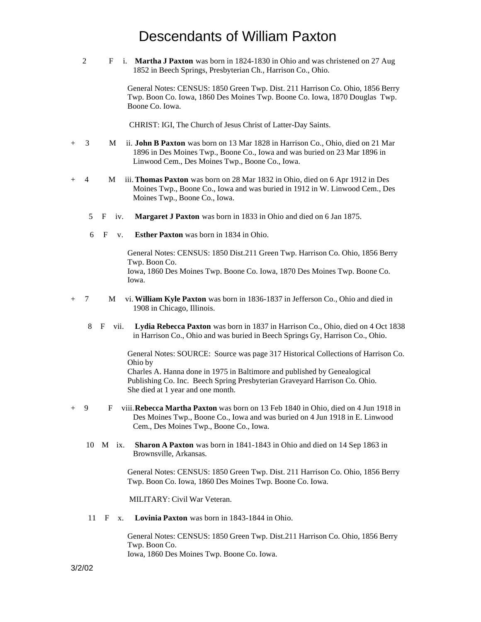2 F i. **Martha J Paxton** was born in 1824-1830 in Ohio and was christened on 27 Aug 1852 in Beech Springs, Presbyterian Ch., Harrison Co., Ohio.

> General Notes: CENSUS: 1850 Green Twp. Dist. 211 Harrison Co. Ohio, 1856 Berry Twp. Boon Co. Iowa, 1860 Des Moines Twp. Boone Co. Iowa, 1870 Douglas Twp. Boone Co. Iowa.

CHRIST: IGI, The Church of Jesus Christ of Latter-Day Saints.

- + 3 M ii. **John B Paxton** was born on 13 Mar 1828 in Harrison Co., Ohio, died on 21 Mar 1896 in Des Moines Twp., Boone Co., Iowa and was buried on 23 Mar 1896 in Linwood Cem., Des Moines Twp., Boone Co., Iowa.
- + 4 M iii. **Thomas Paxton** was born on 28 Mar 1832 in Ohio, died on 6 Apr 1912 in Des Moines Twp., Boone Co., Iowa and was buried in 1912 in W. Linwood Cem., Des Moines Twp., Boone Co., Iowa.
	- 5 F iv. **Margaret J Paxton** was born in 1833 in Ohio and died on 6 Jan 1875.
	- 6 F v. **Esther Paxton** was born in 1834 in Ohio.

General Notes: CENSUS: 1850 Dist.211 Green Twp. Harrison Co. Ohio, 1856 Berry Twp. Boon Co. Iowa, 1860 Des Moines Twp. Boone Co. Iowa, 1870 Des Moines Twp. Boone Co. Iowa.

- + 7 M vi. **William Kyle Paxton** was born in 1836-1837 in Jefferson Co., Ohio and died in 1908 in Chicago, Illinois.
	- 8 F vii. **Lydia Rebecca Paxton** was born in 1837 in Harrison Co., Ohio, died on 4 Oct 1838 in Harrison Co., Ohio and was buried in Beech Springs Gy, Harrison Co., Ohio.

General Notes: SOURCE: Source was page 317 Historical Collections of Harrison Co. Ohio by Charles A. Hanna done in 1975 in Baltimore and published by Genealogical Publishing Co. Inc. Beech Spring Presbyterian Graveyard Harrison Co. Ohio.

- + 9 F viii. **Rebecca Martha Paxton** was born on 13 Feb 1840 in Ohio, died on 4 Jun 1918 in Des Moines Twp., Boone Co., Iowa and was buried on 4 Jun 1918 in E. Linwood Cem., Des Moines Twp., Boone Co., Iowa.
	- 10 M ix. **Sharon A Paxton** was born in 1841-1843 in Ohio and died on 14 Sep 1863 in Brownsville, Arkansas.

General Notes: CENSUS: 1850 Green Twp. Dist. 211 Harrison Co. Ohio, 1856 Berry Twp. Boon Co. Iowa, 1860 Des Moines Twp. Boone Co. Iowa.

MILITARY: Civil War Veteran.

She died at 1 year and one month.

11 F x. **Lovinia Paxton** was born in 1843-1844 in Ohio.

General Notes: CENSUS: 1850 Green Twp. Dist.211 Harrison Co. Ohio, 1856 Berry Twp. Boon Co. Iowa, 1860 Des Moines Twp. Boone Co. Iowa.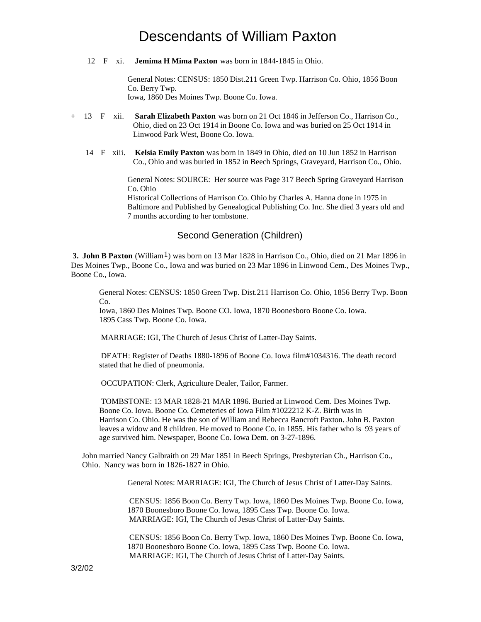12 F xi. **Jemima H Mima Paxton** was born in 1844-1845 in Ohio.

General Notes: CENSUS: 1850 Dist.211 Green Twp. Harrison Co. Ohio, 1856 Boon Co. Berry Twp.

Iowa, 1860 Des Moines Twp. Boone Co. Iowa.

- + 13 F xii. **Sarah Elizabeth Paxton** was born on 21 Oct 1846 in Jefferson Co., Harrison Co., Ohio, died on 23 Oct 1914 in Boone Co. Iowa and was buried on 25 Oct 1914 in Linwood Park West, Boone Co. Iowa.
	- 14 F xiii. **Kelsia Emily Paxton** was born in 1849 in Ohio, died on 10 Jun 1852 in Harrison Co., Ohio and was buried in 1852 in Beech Springs, Graveyard, Harrison Co., Ohio.

General Notes: SOURCE: Her source was Page 317 Beech Spring Graveyard Harrison Co. Ohio

Historical Collections of Harrison Co. Ohio by Charles A. Hanna done in 1975 in Baltimore and Published by Genealogical Publishing Co. Inc. She died 3 years old and 7 months according to her tombstone.

#### Second Generation (Children)

**3. John B Paxton** (William<sup>1</sup>) was born on 13 Mar 1828 in Harrison Co., Ohio, died on 21 Mar 1896 in Des Moines Twp., Boone Co., Iowa and was buried on 23 Mar 1896 in Linwood Cem., Des Moines Twp., Boone Co., Iowa.

General Notes: CENSUS: 1850 Green Twp. Dist.211 Harrison Co. Ohio, 1856 Berry Twp. Boon Co.

Iowa, 1860 Des Moines Twp. Boone CO. Iowa, 1870 Boonesboro Boone Co. Iowa. 1895 Cass Twp. Boone Co. Iowa.

MARRIAGE: IGI, The Church of Jesus Christ of Latter-Day Saints.

 DEATH: Register of Deaths 1880-1896 of Boone Co. Iowa film#1034316. The death record stated that he died of pneumonia.

OCCUPATION: Clerk, Agriculture Dealer, Tailor, Farmer.

 TOMBSTONE: 13 MAR 1828-21 MAR 1896. Buried at Linwood Cem. Des Moines Twp. Boone Co. Iowa. Boone Co. Cemeteries of Iowa Film #1022212 K-Z. Birth was in Harrison Co. Ohio. He was the son of William and Rebecca Bancroft Paxton. John B. Paxton leaves a widow and 8 children. He moved to Boone Co. in 1855. His father who is 93 years of age survived him. Newspaper, Boone Co. Iowa Dem. on 3-27-1896.

John married Nancy Galbraith on 29 Mar 1851 in Beech Springs, Presbyterian Ch., Harrison Co., Ohio. Nancy was born in 1826-1827 in Ohio.

General Notes: MARRIAGE: IGI, The Church of Jesus Christ of Latter-Day Saints.

 CENSUS: 1856 Boon Co. Berry Twp. Iowa, 1860 Des Moines Twp. Boone Co. Iowa, 1870 Boonesboro Boone Co. Iowa, 1895 Cass Twp. Boone Co. Iowa. MARRIAGE: IGI, The Church of Jesus Christ of Latter-Day Saints.

 CENSUS: 1856 Boon Co. Berry Twp. Iowa, 1860 Des Moines Twp. Boone Co. Iowa, 1870 Boonesboro Boone Co. Iowa, 1895 Cass Twp. Boone Co. Iowa. MARRIAGE: IGI, The Church of Jesus Christ of Latter-Day Saints.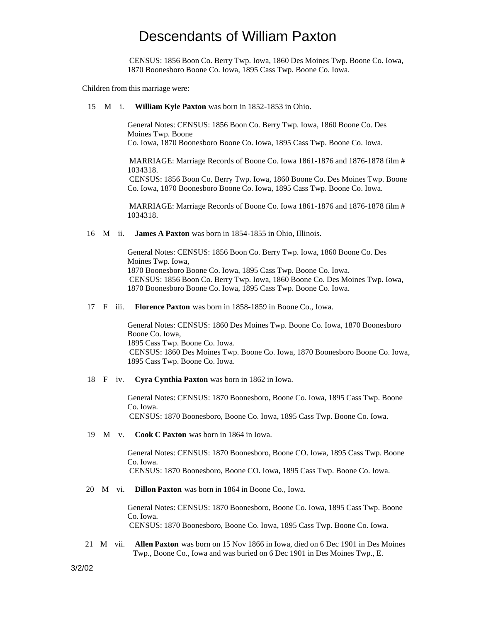CENSUS: 1856 Boon Co. Berry Twp. Iowa, 1860 Des Moines Twp. Boone Co. Iowa, 1870 Boonesboro Boone Co. Iowa, 1895 Cass Twp. Boone Co. Iowa.

Children from this marriage were:

#### 15 M i. **William Kyle Paxton** was born in 1852-1853 in Ohio.

General Notes: CENSUS: 1856 Boon Co. Berry Twp. Iowa, 1860 Boone Co. Des Moines Twp. Boone Co. Iowa, 1870 Boonesboro Boone Co. Iowa, 1895 Cass Twp. Boone Co. Iowa.

 MARRIAGE: Marriage Records of Boone Co. Iowa 1861-1876 and 1876-1878 film # 1034318.

 CENSUS: 1856 Boon Co. Berry Twp. Iowa, 1860 Boone Co. Des Moines Twp. Boone Co. Iowa, 1870 Boonesboro Boone Co. Iowa, 1895 Cass Twp. Boone Co. Iowa.

 MARRIAGE: Marriage Records of Boone Co. Iowa 1861-1876 and 1876-1878 film # 1034318.

16 M ii. **James A Paxton** was born in 1854-1855 in Ohio, Illinois.

General Notes: CENSUS: 1856 Boon Co. Berry Twp. Iowa, 1860 Boone Co. Des Moines Twp. Iowa, 1870 Boonesboro Boone Co. Iowa, 1895 Cass Twp. Boone Co. Iowa. CENSUS: 1856 Boon Co. Berry Twp. Iowa, 1860 Boone Co. Des Moines Twp. Iowa, 1870 Boonesboro Boone Co. Iowa, 1895 Cass Twp. Boone Co. Iowa.

17 F iii. **Florence Paxton** was born in 1858-1859 in Boone Co., Iowa.

General Notes: CENSUS: 1860 Des Moines Twp. Boone Co. Iowa, 1870 Boonesboro Boone Co. Iowa, 1895 Cass Twp. Boone Co. Iowa. CENSUS: 1860 Des Moines Twp. Boone Co. Iowa, 1870 Boonesboro Boone Co. Iowa, 1895 Cass Twp. Boone Co. Iowa.

18 F iv. **Cyra Cynthia Paxton** was born in 1862 in Iowa.

General Notes: CENSUS: 1870 Boonesboro, Boone Co. Iowa, 1895 Cass Twp. Boone Co. Iowa. CENSUS: 1870 Boonesboro, Boone Co. Iowa, 1895 Cass Twp. Boone Co. Iowa.

19 M v. **Cook C Paxton** was born in 1864 in Iowa.

General Notes: CENSUS: 1870 Boonesboro, Boone CO. Iowa, 1895 Cass Twp. Boone Co. Iowa.

CENSUS: 1870 Boonesboro, Boone CO. Iowa, 1895 Cass Twp. Boone Co. Iowa.

20 M vi. **Dillon Paxton** was born in 1864 in Boone Co., Iowa.

General Notes: CENSUS: 1870 Boonesboro, Boone Co. Iowa, 1895 Cass Twp. Boone Co. Iowa. CENSUS: 1870 Boonesboro, Boone Co. Iowa, 1895 Cass Twp. Boone Co. Iowa.

 21 M vii. **Allen Paxton** was born on 15 Nov 1866 in Iowa, died on 6 Dec 1901 in Des Moines Twp., Boone Co., Iowa and was buried on 6 Dec 1901 in Des Moines Twp., E.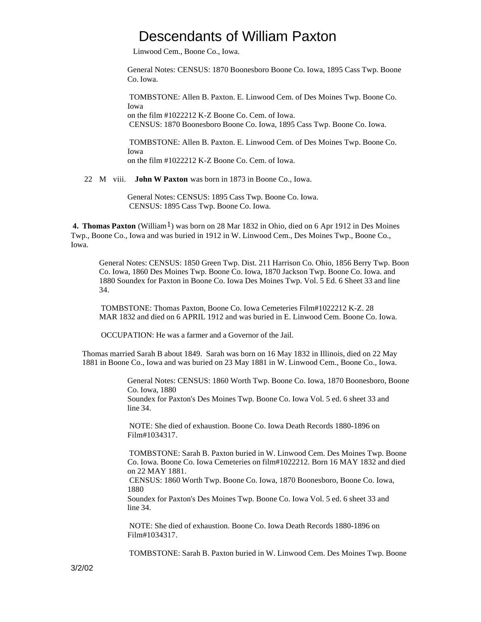Linwood Cem., Boone Co., Iowa.

General Notes: CENSUS: 1870 Boonesboro Boone Co. Iowa, 1895 Cass Twp. Boone Co. Iowa.

 TOMBSTONE: Allen B. Paxton. E. Linwood Cem. of Des Moines Twp. Boone Co. Iowa on the film #1022212 K-Z Boone Co. Cem. of Iowa. CENSUS: 1870 Boonesboro Boone Co. Iowa, 1895 Cass Twp. Boone Co. Iowa.

 TOMBSTONE: Allen B. Paxton. E. Linwood Cem. of Des Moines Twp. Boone Co. Iowa

on the film #1022212 K-Z Boone Co. Cem. of Iowa.

22 M viii. **John W Paxton** was born in 1873 in Boone Co., Iowa.

General Notes: CENSUS: 1895 Cass Twp. Boone Co. Iowa. CENSUS: 1895 Cass Twp. Boone Co. Iowa.

 **4. Thomas Paxton** (William1) was born on 28 Mar 1832 in Ohio, died on 6 Apr 1912 in Des Moines Twp., Boone Co., Iowa and was buried in 1912 in W. Linwood Cem., Des Moines Twp., Boone Co., Iowa.

General Notes: CENSUS: 1850 Green Twp. Dist. 211 Harrison Co. Ohio, 1856 Berry Twp. Boon Co. Iowa, 1860 Des Moines Twp. Boone Co. Iowa, 1870 Jackson Twp. Boone Co. Iowa. and 1880 Soundex for Paxton in Boone Co. Iowa Des Moines Twp. Vol. 5 Ed. 6 Sheet 33 and line 34.

 TOMBSTONE: Thomas Paxton, Boone Co. Iowa Cemeteries Film#1022212 K-Z. 28 MAR 1832 and died on 6 APRIL 1912 and was buried in E. Linwood Cem. Boone Co. Iowa.

OCCUPATION: He was a farmer and a Governor of the Jail.

Thomas married Sarah B about 1849. Sarah was born on 16 May 1832 in Illinois, died on 22 May 1881 in Boone Co., Iowa and was buried on 23 May 1881 in W. Linwood Cem., Boone Co., Iowa.

> General Notes: CENSUS: 1860 Worth Twp. Boone Co. Iowa, 1870 Boonesboro, Boone Co. Iowa, 1880

Soundex for Paxton's Des Moines Twp. Boone Co. Iowa Vol. 5 ed. 6 sheet 33 and line 34.

 NOTE: She died of exhaustion. Boone Co. Iowa Death Records 1880-1896 on Film#1034317.

 TOMBSTONE: Sarah B. Paxton buried in W. Linwood Cem. Des Moines Twp. Boone Co. Iowa. Boone Co. Iowa Cemeteries on film#1022212. Born 16 MAY 1832 and died on 22 MAY 1881.

 CENSUS: 1860 Worth Twp. Boone Co. Iowa, 1870 Boonesboro, Boone Co. Iowa, 1880

Soundex for Paxton's Des Moines Twp. Boone Co. Iowa Vol. 5 ed. 6 sheet 33 and line 34.

 NOTE: She died of exhaustion. Boone Co. Iowa Death Records 1880-1896 on Film#1034317.

TOMBSTONE: Sarah B. Paxton buried in W. Linwood Cem. Des Moines Twp. Boone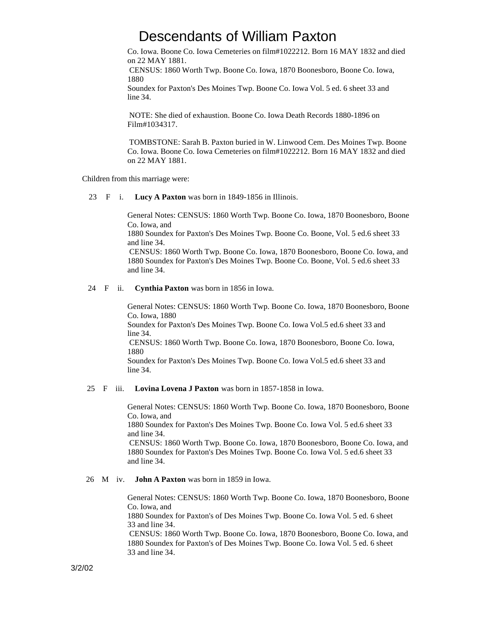Co. Iowa. Boone Co. Iowa Cemeteries on film#1022212. Born 16 MAY 1832 and died on 22 MAY 1881.

 CENSUS: 1860 Worth Twp. Boone Co. Iowa, 1870 Boonesboro, Boone Co. Iowa, 1880

Soundex for Paxton's Des Moines Twp. Boone Co. Iowa Vol. 5 ed. 6 sheet 33 and line 34.

 NOTE: She died of exhaustion. Boone Co. Iowa Death Records 1880-1896 on Film#1034317.

 TOMBSTONE: Sarah B. Paxton buried in W. Linwood Cem. Des Moines Twp. Boone Co. Iowa. Boone Co. Iowa Cemeteries on film#1022212. Born 16 MAY 1832 and died on 22 MAY 1881.

Children from this marriage were:

23 F i. **Lucy A Paxton** was born in 1849-1856 in Illinois.

General Notes: CENSUS: 1860 Worth Twp. Boone Co. Iowa, 1870 Boonesboro, Boone Co. Iowa, and

1880 Soundex for Paxton's Des Moines Twp. Boone Co. Boone, Vol. 5 ed.6 sheet 33 and line 34.

 CENSUS: 1860 Worth Twp. Boone Co. Iowa, 1870 Boonesboro, Boone Co. Iowa, and 1880 Soundex for Paxton's Des Moines Twp. Boone Co. Boone, Vol. 5 ed.6 sheet 33 and line 34.

#### 24 F ii. **Cynthia Paxton** was born in 1856 in Iowa.

General Notes: CENSUS: 1860 Worth Twp. Boone Co. Iowa, 1870 Boonesboro, Boone Co. Iowa, 1880 Soundex for Paxton's Des Moines Twp. Boone Co. Iowa Vol.5 ed.6 sheet 33 and line 34. CENSUS: 1860 Worth Twp. Boone Co. Iowa, 1870 Boonesboro, Boone Co. Iowa, 1880 Soundex for Paxton's Des Moines Twp. Boone Co. Iowa Vol.5 ed.6 sheet 33 and line 34.

#### 25 F iii. **Lovina Lovena J Paxton** was born in 1857-1858 in Iowa.

General Notes: CENSUS: 1860 Worth Twp. Boone Co. Iowa, 1870 Boonesboro, Boone Co. Iowa, and

1880 Soundex for Paxton's Des Moines Twp. Boone Co. Iowa Vol. 5 ed.6 sheet 33 and line 34.

 CENSUS: 1860 Worth Twp. Boone Co. Iowa, 1870 Boonesboro, Boone Co. Iowa, and 1880 Soundex for Paxton's Des Moines Twp. Boone Co. Iowa Vol. 5 ed.6 sheet 33 and line 34.

#### 26 M iv. **John A Paxton** was born in 1859 in Iowa.

General Notes: CENSUS: 1860 Worth Twp. Boone Co. Iowa, 1870 Boonesboro, Boone Co. Iowa, and 1880 Soundex for Paxton's of Des Moines Twp. Boone Co. Iowa Vol. 5 ed. 6 sheet 33 and line 34. CENSUS: 1860 Worth Twp. Boone Co. Iowa, 1870 Boonesboro, Boone Co. Iowa, and 1880 Soundex for Paxton's of Des Moines Twp. Boone Co. Iowa Vol. 5 ed. 6 sheet 33 and line 34.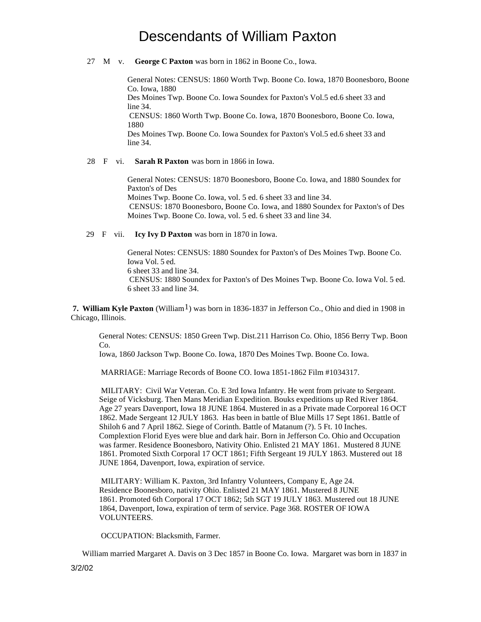27 M v. **George C Paxton** was born in 1862 in Boone Co., Iowa.

General Notes: CENSUS: 1860 Worth Twp. Boone Co. Iowa, 1870 Boonesboro, Boone Co. Iowa, 1880

Des Moines Twp. Boone Co. Iowa Soundex for Paxton's Vol.5 ed.6 sheet 33 and line 34.

 CENSUS: 1860 Worth Twp. Boone Co. Iowa, 1870 Boonesboro, Boone Co. Iowa, 1880

Des Moines Twp. Boone Co. Iowa Soundex for Paxton's Vol.5 ed.6 sheet 33 and line 34.

28 F vi. **Sarah R Paxton** was born in 1866 in Iowa.

General Notes: CENSUS: 1870 Boonesboro, Boone Co. Iowa, and 1880 Soundex for Paxton's of Des Moines Twp. Boone Co. Iowa, vol. 5 ed. 6 sheet 33 and line 34. CENSUS: 1870 Boonesboro, Boone Co. Iowa, and 1880 Soundex for Paxton's of Des Moines Twp. Boone Co. Iowa, vol. 5 ed. 6 sheet 33 and line 34.

29 F vii. **Icy Ivy D Paxton** was born in 1870 in Iowa.

General Notes: CENSUS: 1880 Soundex for Paxton's of Des Moines Twp. Boone Co. Iowa Vol. 5 ed. 6 sheet 33 and line 34. CENSUS: 1880 Soundex for Paxton's of Des Moines Twp. Boone Co. Iowa Vol. 5 ed. 6 sheet 33 and line 34.

**7. William Kyle Paxton** (William<sup>1</sup>) was born in 1836-1837 in Jefferson Co., Ohio and died in 1908 in Chicago, Illinois.

General Notes: CENSUS: 1850 Green Twp. Dist.211 Harrison Co. Ohio, 1856 Berry Twp. Boon Co.

Iowa, 1860 Jackson Twp. Boone Co. Iowa, 1870 Des Moines Twp. Boone Co. Iowa.

MARRIAGE: Marriage Records of Boone CO. Iowa 1851-1862 Film #1034317.

 MILITARY: Civil War Veteran. Co. E 3rd Iowa Infantry. He went from private to Sergeant. Seige of Vicksburg. Then Mans Meridian Expedition. Bouks expeditions up Red River 1864. Age 27 years Davenport, Iowa 18 JUNE 1864. Mustered in as a Private made Corporeal 16 OCT 1862. Made Sergeant 12 JULY 1863. Has been in battle of Blue Mills 17 Sept 1861. Battle of Shiloh 6 and 7 April 1862. Siege of Corinth. Battle of Matanum (?). 5 Ft. 10 Inches. Complextion Florid Eyes were blue and dark hair. Born in Jefferson Co. Ohio and Occupation was farmer. Residence Boonesboro, Nativity Ohio. Enlisted 21 MAY 1861. Mustered 8 JUNE 1861. Promoted Sixth Corporal 17 OCT 1861; Fifth Sergeant 19 JULY 1863. Mustered out 18 JUNE 1864, Davenport, Iowa, expiration of service.

 MILITARY: William K. Paxton, 3rd Infantry Volunteers, Company E, Age 24. Residence Boonesboro, nativity Ohio. Enlisted 21 MAY 1861. Mustered 8 JUNE 1861. Promoted 6th Corporal 17 OCT 1862; 5th SGT 19 JULY 1863. Mustered out 18 JUNE 1864, Davenport, Iowa, expiration of term of service. Page 368. ROSTER OF IOWA VOLUNTEERS.

OCCUPATION: Blacksmith, Farmer.

William married Margaret A. Davis on 3 Dec 1857 in Boone Co. Iowa. Margaret was born in 1837 in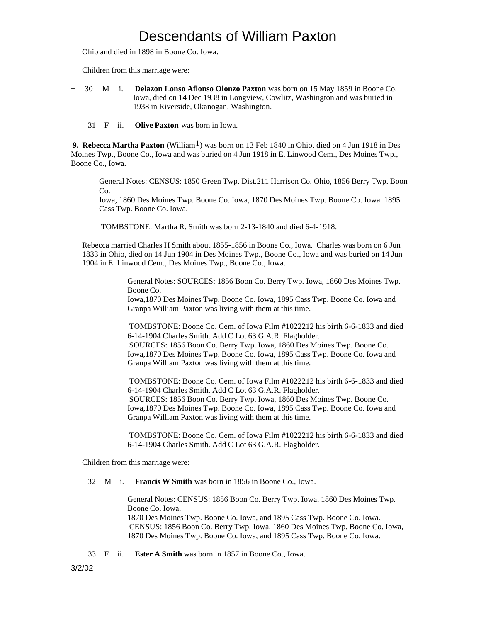Ohio and died in 1898 in Boone Co. Iowa.

Children from this marriage were:

- + 30 M i. **Delazon Lonso Aflonso Olonzo Paxton** was born on 15 May 1859 in Boone Co. Iowa, died on 14 Dec 1938 in Longview, Cowlitz, Washington and was buried in 1938 in Riverside, Okanogan, Washington.
	- 31 F ii. **Olive Paxton** was born in Iowa.

 **9. Rebecca Martha Paxton** (William1) was born on 13 Feb 1840 in Ohio, died on 4 Jun 1918 in Des Moines Twp., Boone Co., Iowa and was buried on 4 Jun 1918 in E. Linwood Cem., Des Moines Twp., Boone Co., Iowa.

General Notes: CENSUS: 1850 Green Twp. Dist.211 Harrison Co. Ohio, 1856 Berry Twp. Boon  $Co$ 

Iowa, 1860 Des Moines Twp. Boone Co. Iowa, 1870 Des Moines Twp. Boone Co. Iowa. 1895 Cass Twp. Boone Co. Iowa.

TOMBSTONE: Martha R. Smith was born 2-13-1840 and died 6-4-1918.

Rebecca married Charles H Smith about 1855-1856 in Boone Co., Iowa. Charles was born on 6 Jun 1833 in Ohio, died on 14 Jun 1904 in Des Moines Twp., Boone Co., Iowa and was buried on 14 Jun 1904 in E. Linwood Cem., Des Moines Twp., Boone Co., Iowa.

> General Notes: SOURCES: 1856 Boon Co. Berry Twp. Iowa, 1860 Des Moines Twp. Boone Co. Iowa,1870 Des Moines Twp. Boone Co. Iowa, 1895 Cass Twp. Boone Co. Iowa and

Granpa William Paxton was living with them at this time.

 TOMBSTONE: Boone Co. Cem. of Iowa Film #1022212 his birth 6-6-1833 and died 6-14-1904 Charles Smith. Add C Lot 63 G.A.R. Flagholder. SOURCES: 1856 Boon Co. Berry Twp. Iowa, 1860 Des Moines Twp. Boone Co. Iowa,1870 Des Moines Twp. Boone Co. Iowa, 1895 Cass Twp. Boone Co. Iowa and Granpa William Paxton was living with them at this time.

 TOMBSTONE: Boone Co. Cem. of Iowa Film #1022212 his birth 6-6-1833 and died 6-14-1904 Charles Smith. Add C Lot 63 G.A.R. Flagholder. SOURCES: 1856 Boon Co. Berry Twp. Iowa, 1860 Des Moines Twp. Boone Co. Iowa,1870 Des Moines Twp. Boone Co. Iowa, 1895 Cass Twp. Boone Co. Iowa and Granpa William Paxton was living with them at this time.

 TOMBSTONE: Boone Co. Cem. of Iowa Film #1022212 his birth 6-6-1833 and died 6-14-1904 Charles Smith. Add C Lot 63 G.A.R. Flagholder.

Children from this marriage were:

32 M i. **Francis W Smith** was born in 1856 in Boone Co., Iowa.

General Notes: CENSUS: 1856 Boon Co. Berry Twp. Iowa, 1860 Des Moines Twp. Boone Co. Iowa, 1870 Des Moines Twp. Boone Co. Iowa, and 1895 Cass Twp. Boone Co. Iowa. CENSUS: 1856 Boon Co. Berry Twp. Iowa, 1860 Des Moines Twp. Boone Co. Iowa, 1870 Des Moines Twp. Boone Co. Iowa, and 1895 Cass Twp. Boone Co. Iowa.

33 F ii. **Ester A Smith** was born in 1857 in Boone Co., Iowa.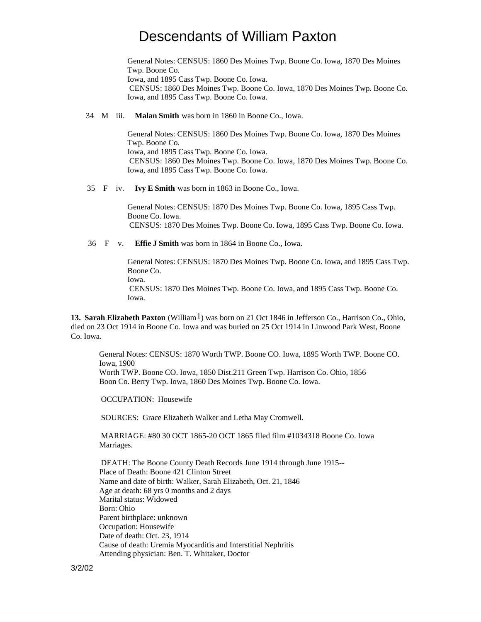General Notes: CENSUS: 1860 Des Moines Twp. Boone Co. Iowa, 1870 Des Moines Twp. Boone Co. Iowa, and 1895 Cass Twp. Boone Co. Iowa. CENSUS: 1860 Des Moines Twp. Boone Co. Iowa, 1870 Des Moines Twp. Boone Co. Iowa, and 1895 Cass Twp. Boone Co. Iowa.

34 M iii. **Malan Smith** was born in 1860 in Boone Co., Iowa.

General Notes: CENSUS: 1860 Des Moines Twp. Boone Co. Iowa, 1870 Des Moines Twp. Boone Co. Iowa, and 1895 Cass Twp. Boone Co. Iowa. CENSUS: 1860 Des Moines Twp. Boone Co. Iowa, 1870 Des Moines Twp. Boone Co. Iowa, and 1895 Cass Twp. Boone Co. Iowa.

35 F iv. **Ivy E Smith** was born in 1863 in Boone Co., Iowa.

General Notes: CENSUS: 1870 Des Moines Twp. Boone Co. Iowa, 1895 Cass Twp. Boone Co. Iowa. CENSUS: 1870 Des Moines Twp. Boone Co. Iowa, 1895 Cass Twp. Boone Co. Iowa.

36 F v. **Effie J Smith** was born in 1864 in Boone Co., Iowa.

General Notes: CENSUS: 1870 Des Moines Twp. Boone Co. Iowa, and 1895 Cass Twp. Boone Co. Iowa.

 CENSUS: 1870 Des Moines Twp. Boone Co. Iowa, and 1895 Cass Twp. Boone Co. Iowa.

**13. Sarah Elizabeth Paxton** (William<sup>1</sup>) was born on 21 Oct 1846 in Jefferson Co., Harrison Co., Ohio, died on 23 Oct 1914 in Boone Co. Iowa and was buried on 25 Oct 1914 in Linwood Park West, Boone Co. Iowa.

General Notes: CENSUS: 1870 Worth TWP. Boone CO. Iowa, 1895 Worth TWP. Boone CO. Iowa, 1900 Worth TWP. Boone CO. Iowa, 1850 Dist.211 Green Twp. Harrison Co. Ohio, 1856 Boon Co. Berry Twp. Iowa, 1860 Des Moines Twp. Boone Co. Iowa.

OCCUPATION: Housewife

SOURCES: Grace Elizabeth Walker and Letha May Cromwell.

 MARRIAGE: #80 30 OCT 1865-20 OCT 1865 filed film #1034318 Boone Co. Iowa Marriages.

 DEATH: The Boone County Death Records June 1914 through June 1915-- Place of Death: Boone 421 Clinton Street Name and date of birth: Walker, Sarah Elizabeth, Oct. 21, 1846 Age at death: 68 yrs 0 months and 2 days Marital status: Widowed Born: Ohio Parent birthplace: unknown Occupation: Housewife Date of death: Oct. 23, 1914 Cause of death: Uremia Myocarditis and Interstitial Nephritis Attending physician: Ben. T. Whitaker, Doctor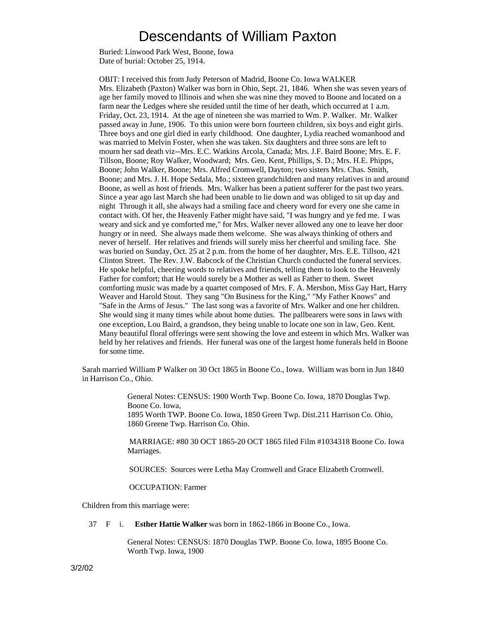Buried: Linwood Park West, Boone, Iowa Date of burial: October 25, 1914.

OBIT: I received this from Judy Peterson of Madrid, Boone Co. Iowa WALKER Mrs. Elizabeth (Paxton) Walker was born in Ohio, Sept. 21, 1846. When she was seven years of age her family moved to Illinois and when she was nine they moved to Boone and located on a farm near the Ledges where she resided until the time of her death, which occurred at 1 a.m. Friday, Oct. 23, 1914. At the age of nineteen she was married to Wm. P. Walker. Mr. Walker passed away in June, 1906. To this union were born fourteen children, six boys and eight girls. Three boys and one girl died in early childhood. One daughter, Lydia reached womanhood and was married to Melvin Foster, when she was taken. Six daughters and three sons are left to mourn her sad death viz--Mrs. E.C. Watkins Arcola, Canada; Mrs. J.F. Baird Boone; Mrs. E. F. Tillson, Boone; Roy Walker, Woodward; Mrs. Geo. Kent, Phillips, S. D.; Mrs. H.E. Phipps, Boone; John Walker, Boone; Mrs. Alfred Cromwell, Dayton; two sisters Mrs. Chas. Smith, Boone; and Mrs. J. H. Hope Sedala, Mo.; sixteen grandchildren and many relatives in and around Boone, as well as host of friends. Mrs. Walker has been a patient sufferer for the past two years. Since a year ago last March she had been unable to lie down and was obliged to sit up day and night Through it all, she always had a smiling face and cheery word for every one she came in contact with. Of her, the Heavenly Father might have said, "I was hungry and ye fed me. I was weary and sick and ye comforted me," for Mrs. Walker never allowed any one to leave her door hungry or in need. She always made them welcome. She was always thinking of others and never of herself. Her relatives and friends will surely miss her cheerful and smiling face. She was buried on Sunday, Oct. 25 at 2 p.m. from the home of her daughter, Mrs. E.E. Tillson, 421 Clinton Street. The Rev. J.W. Babcock of the Christian Church conducted the funeral services. He spoke helpful, cheering words to relatives and friends, telling them to look to the Heavenly Father for comfort; that He would surely be a Mother as well as Father to them. Sweet comforting music was made by a quartet composed of Mrs. F. A. Mershon, Miss Gay Hart, Harry Weaver and Harold Stout. They sang "On Business for the King," "My Father Knows" and "Safe in the Arms of Jesus." The last song was a favorite of Mrs. Walker and one her children. She would sing it many times while about home duties. The pallbearers were sons in laws with one exception, Lou Baird, a grandson, they being unable to locate one son in law, Geo. Kent. Many beautiful floral offerings were sent showing the love and esteem in which Mrs. Walker was held by her relatives and friends. Her funeral was one of the largest home funerals held in Boone for some time.

Sarah married William P Walker on 30 Oct 1865 in Boone Co., Iowa. William was born in Jun 1840 in Harrison Co., Ohio.

> General Notes: CENSUS: 1900 Worth Twp. Boone Co. Iowa, 1870 Douglas Twp. Boone Co. Iowa, 1895 Worth TWP. Boone Co. Iowa, 1850 Green Twp. Dist.211 Harrison Co. Ohio, 1860 Greene Twp. Harrison Co. Ohio.

 MARRIAGE: #80 30 OCT 1865-20 OCT 1865 filed Film #1034318 Boone Co. Iowa Marriages.

SOURCES: Sources were Letha May Cromwell and Grace Elizabeth Cromwell.

OCCUPATION: Farmer

Children from this marriage were:

37 F i. **Esther Hattie Walker** was born in 1862-1866 in Boone Co., Iowa.

General Notes: CENSUS: 1870 Douglas TWP. Boone Co. Iowa, 1895 Boone Co. Worth Twp. Iowa, 1900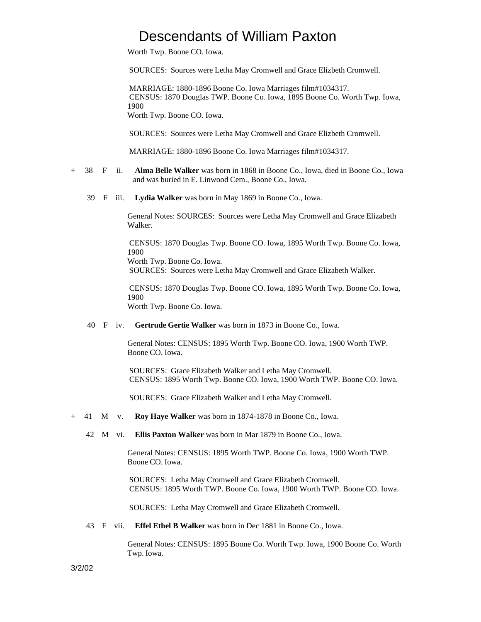Worth Twp. Boone CO. Iowa.

SOURCES: Sources were Letha May Cromwell and Grace Elizbeth Cromwell.

 MARRIAGE: 1880-1896 Boone Co. Iowa Marriages film#1034317. CENSUS: 1870 Douglas TWP. Boone Co. Iowa, 1895 Boone Co. Worth Twp. Iowa, 1900 Worth Twp. Boone CO. Iowa.

SOURCES: Sources were Letha May Cromwell and Grace Elizbeth Cromwell.

MARRIAGE: 1880-1896 Boone Co. Iowa Marriages film#1034317.

- + 38 F ii. **Alma Belle Walker** was born in 1868 in Boone Co., Iowa, died in Boone Co., Iowa and was buried in E. Linwood Cem., Boone Co., Iowa.
	- 39 F iii. **Lydia Walker** was born in May 1869 in Boone Co., Iowa.

General Notes: SOURCES: Sources were Letha May Cromwell and Grace Elizabeth Walker.

 CENSUS: 1870 Douglas Twp. Boone CO. Iowa, 1895 Worth Twp. Boone Co. Iowa, 1900

Worth Twp. Boone Co. Iowa. SOURCES: Sources were Letha May Cromwell and Grace Elizabeth Walker.

 CENSUS: 1870 Douglas Twp. Boone CO. Iowa, 1895 Worth Twp. Boone Co. Iowa, 1900

Worth Twp. Boone Co. Iowa.

40 F iv. **Gertrude Gertie Walker** was born in 1873 in Boone Co., Iowa.

General Notes: CENSUS: 1895 Worth Twp. Boone CO. Iowa, 1900 Worth TWP. Boone CO. Iowa.

 SOURCES: Grace Elizabeth Walker and Letha May Cromwell. CENSUS: 1895 Worth Twp. Boone CO. Iowa, 1900 Worth TWP. Boone CO. Iowa.

SOURCES: Grace Elizabeth Walker and Letha May Cromwell.

- + 41 M v. **Roy Haye Walker** was born in 1874-1878 in Boone Co., Iowa.
	- 42 M vi. **Ellis Paxton Walker** was born in Mar 1879 in Boone Co., Iowa.

General Notes: CENSUS: 1895 Worth TWP. Boone Co. Iowa, 1900 Worth TWP. Boone CO. Iowa.

 SOURCES: Letha May Cromwell and Grace Elizabeth Cromwell. CENSUS: 1895 Worth TWP. Boone Co. Iowa, 1900 Worth TWP. Boone CO. Iowa.

SOURCES: Letha May Cromwell and Grace Elizabeth Cromwell.

43 F vii. **Effel Ethel B Walker** was born in Dec 1881 in Boone Co., Iowa.

General Notes: CENSUS: 1895 Boone Co. Worth Twp. Iowa, 1900 Boone Co. Worth Twp. Iowa.

3/2/02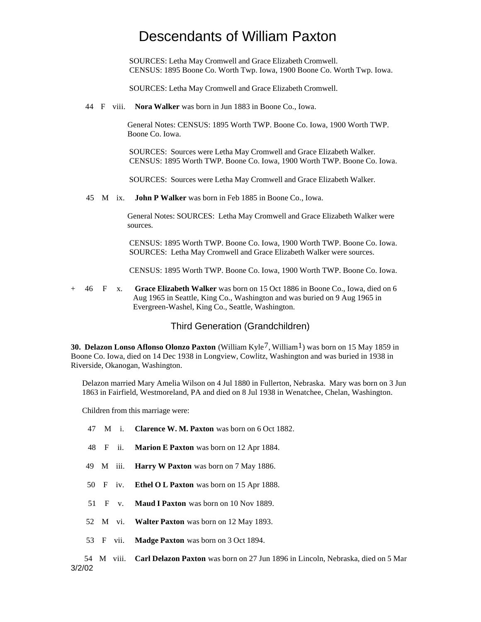SOURCES: Letha May Cromwell and Grace Elizabeth Cromwell. CENSUS: 1895 Boone Co. Worth Twp. Iowa, 1900 Boone Co. Worth Twp. Iowa.

SOURCES: Letha May Cromwell and Grace Elizabeth Cromwell.

44 F viii. **Nora Walker** was born in Jun 1883 in Boone Co., Iowa.

General Notes: CENSUS: 1895 Worth TWP. Boone Co. Iowa, 1900 Worth TWP. Boone Co. Iowa.

 SOURCES: Sources were Letha May Cromwell and Grace Elizabeth Walker. CENSUS: 1895 Worth TWP. Boone Co. Iowa, 1900 Worth TWP. Boone Co. Iowa.

SOURCES: Sources were Letha May Cromwell and Grace Elizabeth Walker.

45 M ix. **John P Walker** was born in Feb 1885 in Boone Co., Iowa.

General Notes: SOURCES: Letha May Cromwell and Grace Elizabeth Walker were sources.

 CENSUS: 1895 Worth TWP. Boone Co. Iowa, 1900 Worth TWP. Boone Co. Iowa. SOURCES: Letha May Cromwell and Grace Elizabeth Walker were sources.

CENSUS: 1895 Worth TWP. Boone Co. Iowa, 1900 Worth TWP. Boone Co. Iowa.

+ 46 F x. **Grace Elizabeth Walker** was born on 15 Oct 1886 in Boone Co., Iowa, died on 6 Aug 1965 in Seattle, King Co., Washington and was buried on 9 Aug 1965 in Evergreen-Washel, King Co., Seattle, Washington.

Third Generation (Grandchildren)

**30. Delazon Lonso Aflonso Olonzo Paxton** (William Kyle<sup>7</sup>, William<sup>1</sup>) was born on 15 May 1859 in Boone Co. Iowa, died on 14 Dec 1938 in Longview, Cowlitz, Washington and was buried in 1938 in Riverside, Okanogan, Washington.

Delazon married Mary Amelia Wilson on 4 Jul 1880 in Fullerton, Nebraska. Mary was born on 3 Jun 1863 in Fairfield, Westmoreland, PA and died on 8 Jul 1938 in Wenatchee, Chelan, Washington.

Children from this marriage were:

- 47 M i. **Clarence W. M. Paxton** was born on 6 Oct 1882.
- 48 F ii. **Marion E Paxton** was born on 12 Apr 1884.
- 49 M iii. **Harry W Paxton** was born on 7 May 1886.
- 50 F iv. **Ethel O L Paxton** was born on 15 Apr 1888.
- 51 F v. **Maud I Paxton** was born on 10 Nov 1889.
- 52 M vi. **Walter Paxton** was born on 12 May 1893.
- 53 F vii. **Madge Paxton** was born on 3 Oct 1894.

 54 M viii. **Carl Delazon Paxton** was born on 27 Jun 1896 in Lincoln, Nebraska, died on 5 Mar 3/2/02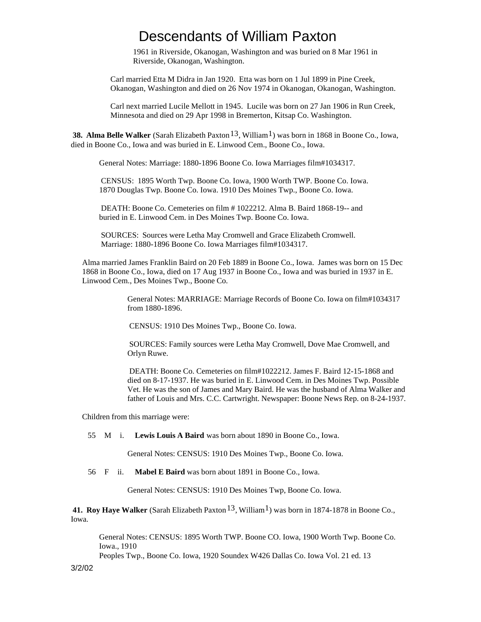1961 in Riverside, Okanogan, Washington and was buried on 8 Mar 1961 in Riverside, Okanogan, Washington.

Carl married Etta M Didra in Jan 1920. Etta was born on 1 Jul 1899 in Pine Creek, Okanogan, Washington and died on 26 Nov 1974 in Okanogan, Okanogan, Washington.

Carl next married Lucile Mellott in 1945. Lucile was born on 27 Jan 1906 in Run Creek, Minnesota and died on 29 Apr 1998 in Bremerton, Kitsap Co. Washington.

**38. Alma Belle Walker** (Sarah Elizabeth Paxton<sup>13</sup>, William<sup>1</sup>) was born in 1868 in Boone Co., Iowa, died in Boone Co., Iowa and was buried in E. Linwood Cem., Boone Co., Iowa.

General Notes: Marriage: 1880-1896 Boone Co. Iowa Marriages film#1034317.

 CENSUS: 1895 Worth Twp. Boone Co. Iowa, 1900 Worth TWP. Boone Co. Iowa. 1870 Douglas Twp. Boone Co. Iowa. 1910 Des Moines Twp., Boone Co. Iowa.

 DEATH: Boone Co. Cemeteries on film # 1022212. Alma B. Baird 1868-19-- and buried in E. Linwood Cem. in Des Moines Twp. Boone Co. Iowa.

 SOURCES: Sources were Letha May Cromwell and Grace Elizabeth Cromwell. Marriage: 1880-1896 Boone Co. Iowa Marriages film#1034317.

Alma married James Franklin Baird on 20 Feb 1889 in Boone Co., Iowa. James was born on 15 Dec 1868 in Boone Co., Iowa, died on 17 Aug 1937 in Boone Co., Iowa and was buried in 1937 in E. Linwood Cem., Des Moines Twp., Boone Co.

> General Notes: MARRIAGE: Marriage Records of Boone Co. Iowa on film#1034317 from 1880-1896.

CENSUS: 1910 Des Moines Twp., Boone Co. Iowa.

 SOURCES: Family sources were Letha May Cromwell, Dove Mae Cromwell, and Orlyn Ruwe.

 DEATH: Boone Co. Cemeteries on film#1022212. James F. Baird 12-15-1868 and died on 8-17-1937. He was buried in E. Linwood Cem. in Des Moines Twp. Possible Vet. He was the son of James and Mary Baird. He was the husband of Alma Walker and father of Louis and Mrs. C.C. Cartwright. Newspaper: Boone News Rep. on 8-24-1937.

Children from this marriage were:

55 M i. **Lewis Louis A Baird** was born about 1890 in Boone Co., Iowa.

General Notes: CENSUS: 1910 Des Moines Twp., Boone Co. Iowa.

56 F ii. **Mabel E Baird** was born about 1891 in Boone Co., Iowa.

General Notes: CENSUS: 1910 Des Moines Twp, Boone Co. Iowa.

**41. Roy Haye Walker** (Sarah Elizabeth Paxton<sup>13</sup>, William<sup>1</sup>) was born in 1874-1878 in Boone Co., Iowa.

General Notes: CENSUS: 1895 Worth TWP. Boone CO. Iowa, 1900 Worth Twp. Boone Co. Iowa., 1910

Peoples Twp., Boone Co. Iowa, 1920 Soundex W426 Dallas Co. Iowa Vol. 21 ed. 13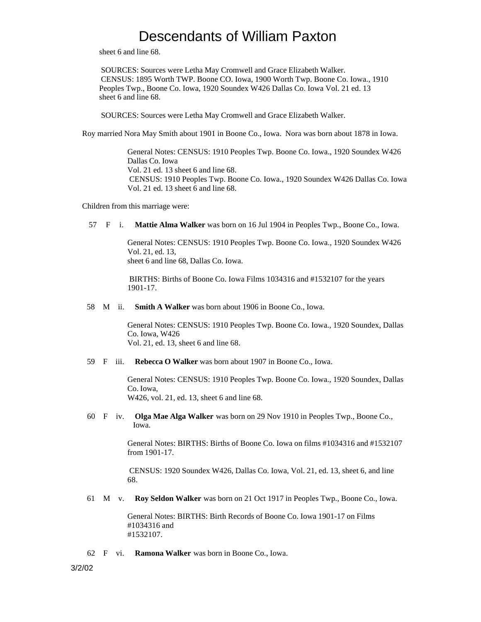sheet 6 and line 68.

 SOURCES: Sources were Letha May Cromwell and Grace Elizabeth Walker. CENSUS: 1895 Worth TWP. Boone CO. Iowa, 1900 Worth Twp. Boone Co. Iowa., 1910 Peoples Twp., Boone Co. Iowa, 1920 Soundex W426 Dallas Co. Iowa Vol. 21 ed. 13 sheet 6 and line 68.

SOURCES: Sources were Letha May Cromwell and Grace Elizabeth Walker.

Roy married Nora May Smith about 1901 in Boone Co., Iowa. Nora was born about 1878 in Iowa.

General Notes: CENSUS: 1910 Peoples Twp. Boone Co. Iowa., 1920 Soundex W426 Dallas Co. Iowa Vol. 21 ed. 13 sheet 6 and line 68. CENSUS: 1910 Peoples Twp. Boone Co. Iowa., 1920 Soundex W426 Dallas Co. Iowa Vol. 21 ed. 13 sheet 6 and line 68.

Children from this marriage were:

57 F i. **Mattie Alma Walker** was born on 16 Jul 1904 in Peoples Twp., Boone Co., Iowa.

General Notes: CENSUS: 1910 Peoples Twp. Boone Co. Iowa., 1920 Soundex W426 Vol. 21, ed. 13, sheet 6 and line 68, Dallas Co. Iowa.

 BIRTHS: Births of Boone Co. Iowa Films 1034316 and #1532107 for the years 1901-17.

58 M ii. **Smith A Walker** was born about 1906 in Boone Co., Iowa.

General Notes: CENSUS: 1910 Peoples Twp. Boone Co. Iowa., 1920 Soundex, Dallas Co. Iowa, W426 Vol. 21, ed. 13, sheet 6 and line 68.

59 F iii. **Rebecca O Walker** was born about 1907 in Boone Co., Iowa.

General Notes: CENSUS: 1910 Peoples Twp. Boone Co. Iowa., 1920 Soundex, Dallas Co. Iowa, W426, vol. 21, ed. 13, sheet 6 and line 68.

 60 F iv. **Olga Mae Alga Walker** was born on 29 Nov 1910 in Peoples Twp., Boone Co., Iowa.

> General Notes: BIRTHS: Births of Boone Co. Iowa on films #1034316 and #1532107 from 1901-17.

 CENSUS: 1920 Soundex W426, Dallas Co. Iowa, Vol. 21, ed. 13, sheet 6, and line 68.

61 M v. **Roy Seldon Walker** was born on 21 Oct 1917 in Peoples Twp., Boone Co., Iowa.

General Notes: BIRTHS: Birth Records of Boone Co. Iowa 1901-17 on Films #1034316 and #1532107.

62 F vi. **Ramona Walker** was born in Boone Co., Iowa.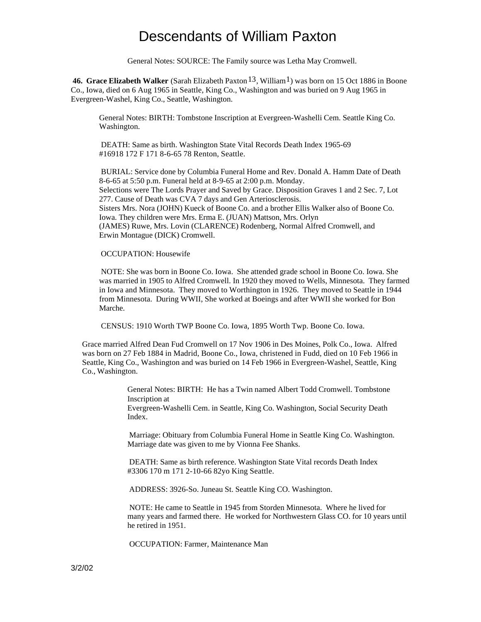General Notes: SOURCE: The Family source was Letha May Cromwell.

**46. Grace Elizabeth Walker** (Sarah Elizabeth Paxton <sup>13</sup>, William<sup>1</sup>) was born on 15 Oct 1886 in Boone Co., Iowa, died on 6 Aug 1965 in Seattle, King Co., Washington and was buried on 9 Aug 1965 in Evergreen-Washel, King Co., Seattle, Washington.

General Notes: BIRTH: Tombstone Inscription at Evergreen-Washelli Cem. Seattle King Co. Washington.

 DEATH: Same as birth. Washington State Vital Records Death Index 1965-69 #16918 172 F 171 8-6-65 78 Renton, Seattle.

 BURIAL: Service done by Columbia Funeral Home and Rev. Donald A. Hamm Date of Death 8-6-65 at 5:50 p.m. Funeral held at 8-9-65 at 2:00 p.m. Monday. Selections were The Lords Prayer and Saved by Grace. Disposition Graves 1 and 2 Sec. 7, Lot 277. Cause of Death was CVA 7 days and Gen Arteriosclerosis. Sisters Mrs. Nora (JOHN) Kueck of Boone Co. and a brother Ellis Walker also of Boone Co. Iowa. They children were Mrs. Erma E. (JUAN) Mattson, Mrs. Orlyn (JAMES) Ruwe, Mrs. Lovin (CLARENCE) Rodenberg, Normal Alfred Cromwell, and Erwin Montague (DICK) Cromwell.

OCCUPATION: Housewife

 NOTE: She was born in Boone Co. Iowa. She attended grade school in Boone Co. Iowa. She was married in 1905 to Alfred Cromwell. In 1920 they moved to Wells, Minnesota. They farmed in Iowa and Minnesota. They moved to Worthington in 1926. They moved to Seattle in 1944 from Minnesota. During WWII, She worked at Boeings and after WWII she worked for Bon Marche.

CENSUS: 1910 Worth TWP Boone Co. Iowa, 1895 Worth Twp. Boone Co. Iowa.

Grace married Alfred Dean Fud Cromwell on 17 Nov 1906 in Des Moines, Polk Co., Iowa. Alfred was born on 27 Feb 1884 in Madrid, Boone Co., Iowa, christened in Fudd, died on 10 Feb 1966 in Seattle, King Co., Washington and was buried on 14 Feb 1966 in Evergreen-Washel, Seattle, King Co., Washington.

> General Notes: BIRTH: He has a Twin named Albert Todd Cromwell. Tombstone Inscription at

Evergreen-Washelli Cem. in Seattle, King Co. Washington, Social Security Death Index.

 Marriage: Obituary from Columbia Funeral Home in Seattle King Co. Washington. Marriage date was given to me by Vionna Fee Shanks.

 DEATH: Same as birth reference. Washington State Vital records Death Index #3306 170 m 171 2-10-66 82yo King Seattle.

ADDRESS: 3926-So. Juneau St. Seattle King CO. Washington.

 NOTE: He came to Seattle in 1945 from Storden Minnesota. Where he lived for many years and farmed there. He worked for Northwestern Glass CO. for 10 years until he retired in 1951.

OCCUPATION: Farmer, Maintenance Man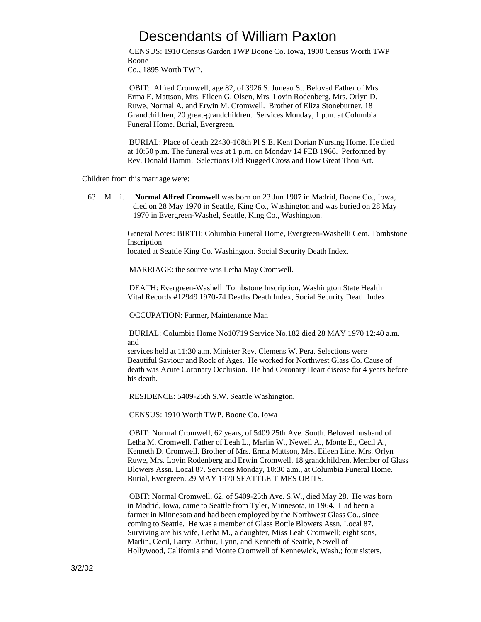CENSUS: 1910 Census Garden TWP Boone Co. Iowa, 1900 Census Worth TWP Boone Co., 1895 Worth TWP.

 OBIT: Alfred Cromwell, age 82, of 3926 S. Juneau St. Beloved Father of Mrs. Erma E. Mattson, Mrs. Eileen G. Olsen, Mrs. Lovin Rodenberg, Mrs. Orlyn D. Ruwe, Normal A. and Erwin M. Cromwell. Brother of Eliza Stoneburner. 18 Grandchildren, 20 great-grandchildren. Services Monday, 1 p.m. at Columbia Funeral Home. Burial, Evergreen.

 BURIAL: Place of death 22430-108th Pl S.E. Kent Dorian Nursing Home. He died at 10:50 p.m. The funeral was at 1 p.m. on Monday 14 FEB 1966. Performed by Rev. Donald Hamm. Selections Old Rugged Cross and How Great Thou Art.

Children from this marriage were:

 63 M i. **Normal Alfred Cromwell** was born on 23 Jun 1907 in Madrid, Boone Co., Iowa, died on 28 May 1970 in Seattle, King Co., Washington and was buried on 28 May 1970 in Evergreen-Washel, Seattle, King Co., Washington.

> General Notes: BIRTH: Columbia Funeral Home, Evergreen-Washelli Cem. Tombstone Inscription

located at Seattle King Co. Washington. Social Security Death Index.

MARRIAGE: the source was Letha May Cromwell.

 DEATH: Evergreen-Washelli Tombstone Inscription, Washington State Health Vital Records #12949 1970-74 Deaths Death Index, Social Security Death Index.

OCCUPATION: Farmer, Maintenance Man

 BURIAL: Columbia Home No10719 Service No.182 died 28 MAY 1970 12:40 a.m. and

services held at 11:30 a.m. Minister Rev. Clemens W. Pera. Selections were Beautiful Saviour and Rock of Ages. He worked for Northwest Glass Co. Cause of death was Acute Coronary Occlusion. He had Coronary Heart disease for 4 years before his death.

RESIDENCE: 5409-25th S.W. Seattle Washington.

CENSUS: 1910 Worth TWP. Boone Co. Iowa

 OBIT: Normal Cromwell, 62 years, of 5409 25th Ave. South. Beloved husband of Letha M. Cromwell. Father of Leah L., Marlin W., Newell A., Monte E., Cecil A., Kenneth D. Cromwell. Brother of Mrs. Erma Mattson, Mrs. Eileen Line, Mrs. Orlyn Ruwe, Mrs. Lovin Rodenberg and Erwin Cromwell. 18 grandchildren. Member of Glass Blowers Assn. Local 87. Services Monday, 10:30 a.m., at Columbia Funeral Home. Burial, Evergreen. 29 MAY 1970 SEATTLE TIMES OBITS.

 OBIT: Normal Cromwell, 62, of 5409-25th Ave. S.W., died May 28. He was born in Madrid, Iowa, came to Seattle from Tyler, Minnesota, in 1964. Had been a farmer in Minnesota and had been employed by the Northwest Glass Co., since coming to Seattle. He was a member of Glass Bottle Blowers Assn. Local 87. Surviving are his wife, Letha M., a daughter, Miss Leah Cromwell; eight sons, Marlin, Cecil, Larry, Arthur, Lynn, and Kenneth of Seattle, Newell of Hollywood, California and Monte Cromwell of Kennewick, Wash.; four sisters,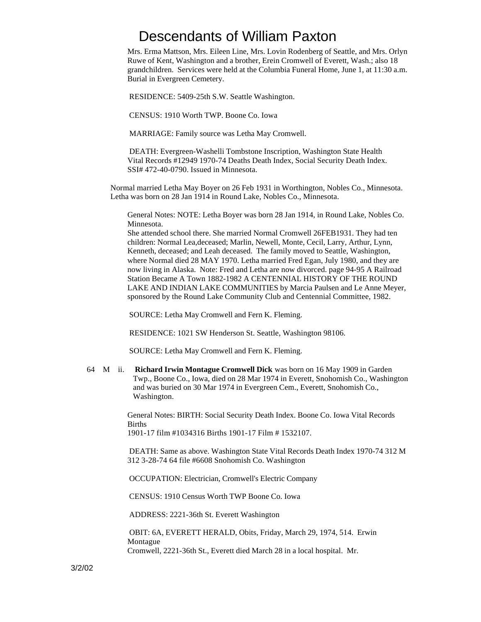Mrs. Erma Mattson, Mrs. Eileen Line, Mrs. Lovin Rodenberg of Seattle, and Mrs. Orlyn Ruwe of Kent, Washington and a brother, Erein Cromwell of Everett, Wash.; also 18 grandchildren. Services were held at the Columbia Funeral Home, June 1, at 11:30 a.m. Burial in Evergreen Cemetery.

RESIDENCE: 5409-25th S.W. Seattle Washington.

CENSUS: 1910 Worth TWP. Boone Co. Iowa

MARRIAGE: Family source was Letha May Cromwell.

 DEATH: Evergreen-Washelli Tombstone Inscription, Washington State Health Vital Records #12949 1970-74 Deaths Death Index, Social Security Death Index. SSI# 472-40-0790. Issued in Minnesota.

Normal married Letha May Boyer on 26 Feb 1931 in Worthington, Nobles Co., Minnesota. Letha was born on 28 Jan 1914 in Round Lake, Nobles Co., Minnesota.

General Notes: NOTE: Letha Boyer was born 28 Jan 1914, in Round Lake, Nobles Co. Minnesota.

She attended school there. She married Normal Cromwell 26FEB1931. They had ten children: Normal Lea,deceased; Marlin, Newell, Monte, Cecil, Larry, Arthur, Lynn, Kenneth, deceased; and Leah deceased. The family moved to Seattle, Washington, where Normal died 28 MAY 1970. Letha married Fred Egan, July 1980, and they are now living in Alaska. Note: Fred and Letha are now divorced. page 94-95 A Railroad Station Became A Town 1882-1982 A CENTENNIAL HISTORY OF THE ROUND LAKE AND INDIAN LAKE COMMUNITIES by Marcia Paulsen and Le Anne Meyer, sponsored by the Round Lake Community Club and Centennial Committee, 1982.

SOURCE: Letha May Cromwell and Fern K. Fleming.

RESIDENCE: 1021 SW Henderson St. Seattle, Washington 98106.

SOURCE: Letha May Cromwell and Fern K. Fleming.

 64 M ii. **Richard Irwin Montague Cromwell Dick** was born on 16 May 1909 in Garden Twp., Boone Co., Iowa, died on 28 Mar 1974 in Everett, Snohomish Co., Washington and was buried on 30 Mar 1974 in Evergreen Cem., Everett, Snohomish Co., Washington.

> General Notes: BIRTH: Social Security Death Index. Boone Co. Iowa Vital Records Births

1901-17 film #1034316 Births 1901-17 Film # 1532107.

 DEATH: Same as above. Washington State Vital Records Death Index 1970-74 312 M 312 3-28-74 64 file #6608 Snohomish Co. Washington

OCCUPATION: Electrician, Cromwell's Electric Company

CENSUS: 1910 Census Worth TWP Boone Co. Iowa

ADDRESS: 2221-36th St. Everett Washington

 OBIT: 6A, EVERETT HERALD, Obits, Friday, March 29, 1974, 514. Erwin Montague

Cromwell, 2221-36th St., Everett died March 28 in a local hospital. Mr.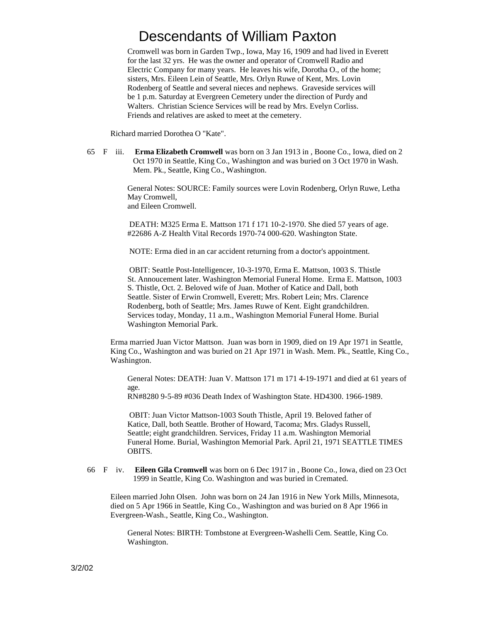Cromwell was born in Garden Twp., Iowa, May 16, 1909 and had lived in Everett for the last 32 yrs. He was the owner and operator of Cromwell Radio and Electric Company for many years. He leaves his wife, Dorotha O., of the home; sisters, Mrs. Eileen Lein of Seattle, Mrs. Orlyn Ruwe of Kent, Mrs. Lovin Rodenberg of Seattle and several nieces and nephews. Graveside services will be 1 p.m. Saturday at Evergreen Cemetery under the direction of Purdy and Walters. Christian Science Services will be read by Mrs. Evelyn Corliss. Friends and relatives are asked to meet at the cemetery.

Richard married Dorothea O "Kate".

 65 F iii. **Erma Elizabeth Cromwell** was born on 3 Jan 1913 in , Boone Co., Iowa, died on 2 Oct 1970 in Seattle, King Co., Washington and was buried on 3 Oct 1970 in Wash. Mem. Pk., Seattle, King Co., Washington.

> General Notes: SOURCE: Family sources were Lovin Rodenberg, Orlyn Ruwe, Letha May Cromwell, and Eileen Cromwell.

 DEATH: M325 Erma E. Mattson 171 f 171 10-2-1970. She died 57 years of age. #22686 A-Z Health Vital Records 1970-74 000-620. Washington State.

NOTE: Erma died in an car accident returning from a doctor's appointment.

 OBIT: Seattle Post-Intelligencer, 10-3-1970, Erma E. Mattson, 1003 S. Thistle St. Annoucement later. Washington Memorial Funeral Home. Erma E. Mattson, 1003 S. Thistle, Oct. 2. Beloved wife of Juan. Mother of Katice and Dall, both Seattle. Sister of Erwin Cromwell, Everett; Mrs. Robert Lein; Mrs. Clarence Rodenberg, both of Seattle; Mrs. James Ruwe of Kent. Eight grandchildren. Services today, Monday, 11 a.m., Washington Memorial Funeral Home. Burial Washington Memorial Park.

Erma married Juan Victor Mattson. Juan was born in 1909, died on 19 Apr 1971 in Seattle, King Co., Washington and was buried on 21 Apr 1971 in Wash. Mem. Pk., Seattle, King Co., Washington.

General Notes: DEATH: Juan V. Mattson 171 m 171 4-19-1971 and died at 61 years of age.

RN#8280 9-5-89 #036 Death Index of Washington State. HD4300. 1966-1989.

 OBIT: Juan Victor Mattson-1003 South Thistle, April 19. Beloved father of Katice, Dall, both Seattle. Brother of Howard, Tacoma; Mrs. Gladys Russell, Seattle; eight grandchildren. Services, Friday 11 a.m. Washington Memorial Funeral Home. Burial, Washington Memorial Park. April 21, 1971 SEATTLE TIMES OBITS.

 66 F iv. **Eileen Gila Cromwell** was born on 6 Dec 1917 in , Boone Co., Iowa, died on 23 Oct 1999 in Seattle, King Co. Washington and was buried in Cremated.

Eileen married John Olsen. John was born on 24 Jan 1916 in New York Mills, Minnesota, died on 5 Apr 1966 in Seattle, King Co., Washington and was buried on 8 Apr 1966 in Evergreen-Wash., Seattle, King Co., Washington.

General Notes: BIRTH: Tombstone at Evergreen-Washelli Cem. Seattle, King Co. Washington.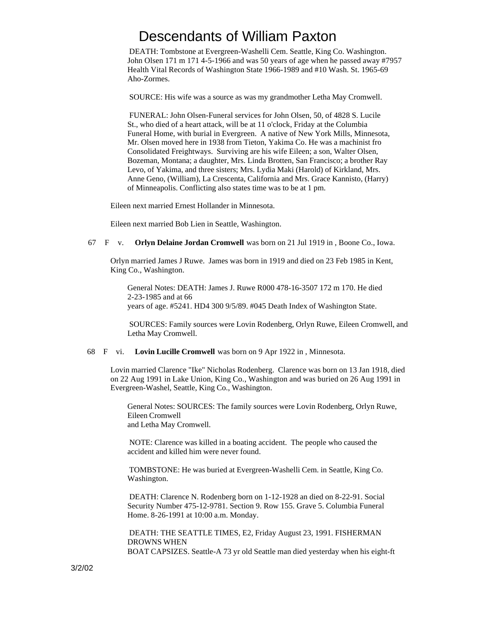DEATH: Tombstone at Evergreen-Washelli Cem. Seattle, King Co. Washington. John Olsen 171 m 171 4-5-1966 and was 50 years of age when he passed away #7957 Health Vital Records of Washington State 1966-1989 and #10 Wash. St. 1965-69 Aho-Zormes.

SOURCE: His wife was a source as was my grandmother Letha May Cromwell.

 FUNERAL: John Olsen-Funeral services for John Olsen, 50, of 4828 S. Lucile St., who died of a heart attack, will be at 11 o'clock, Friday at the Columbia Funeral Home, with burial in Evergreen. A native of New York Mills, Minnesota, Mr. Olsen moved here in 1938 from Tieton, Yakima Co. He was a machinist fro Consolidated Freightways. Surviving are his wife Eileen; a son, Walter Olsen, Bozeman, Montana; a daughter, Mrs. Linda Brotten, San Francisco; a brother Ray Levo, of Yakima, and three sisters; Mrs. Lydia Maki (Harold) of Kirkland, Mrs. Anne Geno, (William), La Crescenta, California and Mrs. Grace Kannisto, (Harry) of Minneapolis. Conflicting also states time was to be at 1 pm.

Eileen next married Ernest Hollander in Minnesota.

Eileen next married Bob Lien in Seattle, Washington.

#### 67 F v. **Orlyn Delaine Jordan Cromwell** was born on 21 Jul 1919 in , Boone Co., Iowa.

Orlyn married James J Ruwe. James was born in 1919 and died on 23 Feb 1985 in Kent, King Co., Washington.

General Notes: DEATH: James J. Ruwe R000 478-16-3507 172 m 170. He died 2-23-1985 and at 66 years of age. #5241. HD4 300 9/5/89. #045 Death Index of Washington State.

 SOURCES: Family sources were Lovin Rodenberg, Orlyn Ruwe, Eileen Cromwell, and Letha May Cromwell.

#### 68 F vi. **Lovin Lucille Cromwell** was born on 9 Apr 1922 in , Minnesota.

Lovin married Clarence "Ike" Nicholas Rodenberg. Clarence was born on 13 Jan 1918, died on 22 Aug 1991 in Lake Union, King Co., Washington and was buried on 26 Aug 1991 in Evergreen-Washel, Seattle, King Co., Washington.

General Notes: SOURCES: The family sources were Lovin Rodenberg, Orlyn Ruwe, Eileen Cromwell and Letha May Cromwell.

 NOTE: Clarence was killed in a boating accident. The people who caused the accident and killed him were never found.

 TOMBSTONE: He was buried at Evergreen-Washelli Cem. in Seattle, King Co. Washington.

 DEATH: Clarence N. Rodenberg born on 1-12-1928 an died on 8-22-91. Social Security Number 475-12-9781. Section 9. Row 155. Grave 5. Columbia Funeral Home. 8-26-1991 at 10:00 a.m. Monday.

 DEATH: THE SEATTLE TIMES, E2, Friday August 23, 1991. FISHERMAN DROWNS WHEN

BOAT CAPSIZES. Seattle-A 73 yr old Seattle man died yesterday when his eight-ft